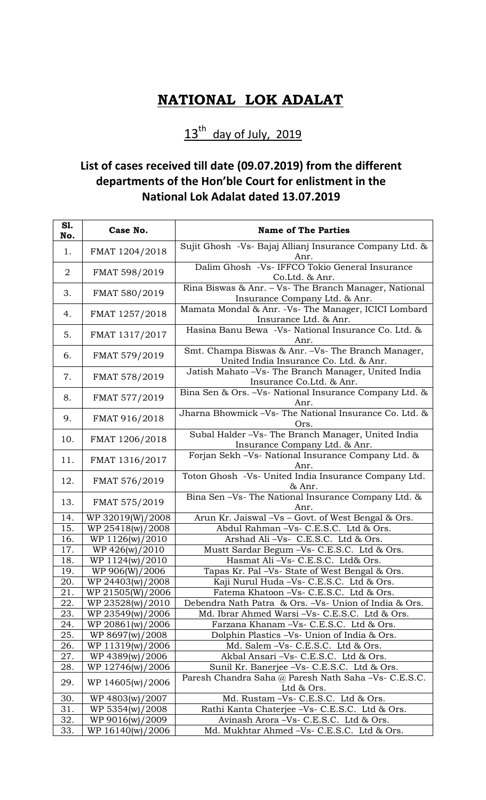## **NATIONAL LOK ADALAT**

## $13<sup>th</sup>$  day of July, 2019

## **List of cases received till date (09.07.2019) from the different departments of the Hon'ble Court for enlistment in the National Lok Adalat dated 13.07.2019**

| S1.<br>No.     | Case No.                            | <b>Name of The Parties</b>                                                                   |
|----------------|-------------------------------------|----------------------------------------------------------------------------------------------|
| 1.             | FMAT 1204/2018                      | Sujit Ghosh -Vs- Bajaj Allianj Insurance Company Ltd. &<br>Anr.                              |
| $\overline{2}$ | FMAT 598/2019                       | Dalim Ghosh -Vs- IFFCO Tokio General Insurance<br>Co.Ltd. & Anr.                             |
| 3.             | FMAT 580/2019                       | Rina Biswas & Anr. - Vs- The Branch Manager, National<br>Insurance Company Ltd. & Anr.       |
| 4.             | FMAT 1257/2018                      | Mamata Mondal & Anr. - Vs- The Manager, ICICI Lombard<br>Insurance Ltd. & Anr.               |
| 5.             | FMAT 1317/2017                      | Hasina Banu Bewa -Vs- National Insurance Co. Ltd. &<br>Anr.                                  |
| 6.             | FMAT 579/2019                       | Smt. Champa Biswas & Anr. -Vs- The Branch Manager,<br>United India Insurance Co. Ltd. & Anr. |
| 7.             | FMAT 578/2019                       | Jatish Mahato -Vs- The Branch Manager, United India<br>Insurance Co.Ltd. & Anr.              |
| 8.             | FMAT 577/2019                       | Bina Sen & Ors. -Vs- National Insurance Company Ltd. &<br>Anr.                               |
| 9.             | FMAT 916/2018                       | Jharna Bhowmick -Vs- The National Insurance Co. Ltd. &<br>Ors.                               |
| 10.            | FMAT 1206/2018                      | Subal Halder -Vs- The Branch Manager, United India<br>Insurance Company Ltd. & Anr.          |
| 11.            | FMAT 1316/2017                      | Forjan Sekh - Vs- National Insurance Company Ltd. &<br>Anr.                                  |
| 12.            | FMAT 576/2019                       | Toton Ghosh -Vs- United India Insurance Company Ltd.<br>& Anr.                               |
| 13.            | FMAT 575/2019                       | Bina Sen -Vs- The National Insurance Company Ltd. &<br>Anr.                                  |
| 14.            | WP 32019(W)/2008                    | Arun Kr. Jaiswal -Vs - Govt. of West Bengal & Ors.                                           |
| 15.            | WP 25418(w)/2008                    | Abdul Rahman -Vs- C.E.S.C. Ltd & Ors.                                                        |
| 16.            | WP 1126(w)/2010                     | Arshad Ali -Vs- C.E.S.C. Ltd & Ors.                                                          |
| 17.            | WP 426(w)/2010                      | Mustt Sardar Begum -Vs- C.E.S.C. Ltd & Ors.                                                  |
| 18.            | WP 1124(w)/2010                     | Hasmat Ali-Vs- C.E.S.C. Ltd& Ors.                                                            |
| 19.            | WP 906(W)/2006                      | Tapas Kr. Pal -Vs- State of West Bengal & Ors.                                               |
| 20.            | WP 24403(w)/2008                    | Kaji Nurul Huda -Vs- C.E.S.C. Ltd & Ors.                                                     |
| 21.            | WP 21505(W)/2006                    | Fatema Khatoon -Vs- C.E.S.C. Ltd & Ors.                                                      |
| 22.            | WP 23528(w)/2010                    | Debendra Nath Patra & Ors. -Vs- Union of India & Ors.                                        |
| 23.            | WP 23549(w)/2006                    | Md. Ibrar Ahmed Warsi - Vs - C.E.S.C. Ltd & Ors.                                             |
| 24.            | WP 20861(w)/2006                    | Farzana Khanam - Vs - C.E.S.C. Ltd & Ors.                                                    |
| 25.<br>26.     | WP 8697(w)/2008<br>WP 11319(w)/2006 | Dolphin Plastics -Vs- Union of India & Ors.<br>Md. Salem -Vs- C.E.S.C. Ltd & Ors.            |
| 27.            | WP 4389(w)/2006                     | Akbal Ansari -Vs- C.E.S.C. Ltd & Ors.                                                        |
| 28.            | WP 12746(w)/2006                    | Sunil Kr. Banerjee -Vs- C.E.S.C. Ltd & Ors.                                                  |
| 29.            | WP 14605(w)/2006                    | Paresh Chandra Saha @ Paresh Nath Saha -Vs- C.E.S.C.<br>Ltd & Ors.                           |
| 30.            | WP 4803(w)/2007                     | Md. Rustam -Vs- C.E.S.C. Ltd & Ors.                                                          |
| 31.            | WP 5354(w)/2008                     | Rathi Kanta Chaterjee -Vs- C.E.S.C. Ltd & Ors.                                               |
| 32.            | WP 9016(w)/2009                     | Avinash Arora - Vs - C.E.S.C. Ltd & Ors.                                                     |
| 33.            | WP 16140(w)/2006                    | Md. Mukhtar Ahmed -Vs- C.E.S.C. Ltd & Ors.                                                   |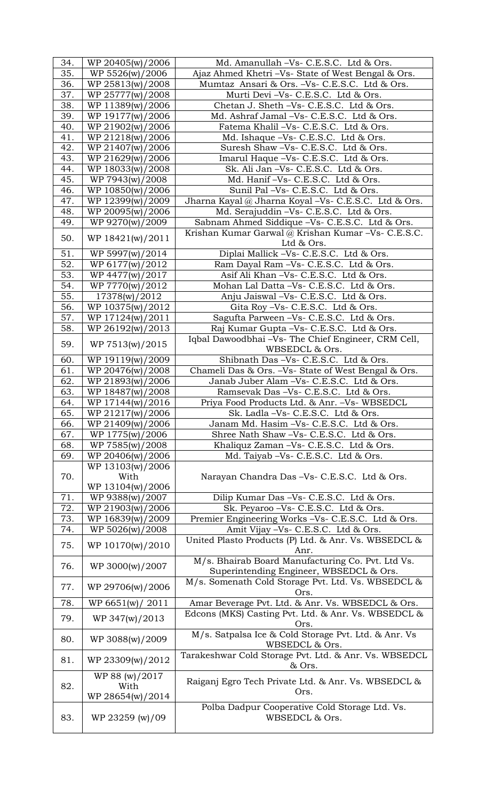| 34. | WP 20405(w)/2006 | Md. Amanullah -Vs- C.E.S.C. Ltd & Ors.                                |
|-----|------------------|-----------------------------------------------------------------------|
| 35. | WP 5526(w)/2006  | Ajaz Ahmed Khetri - Vs- State of West Bengal & Ors.                   |
| 36. | WP 25813(w)/2008 | Mumtaz Ansari & Ors. -Vs- C.E.S.C. Ltd & Ors.                         |
| 37. | WP 25777(w)/2008 | Murti Devi -Vs- C.E.S.C. Ltd & Ors.                                   |
| 38. | WP 11389(w)/2006 | Chetan J. Sheth -Vs- C.E.S.C. Ltd & Ors.                              |
| 39. | WP 19177(w)/2006 | Md. Ashraf Jamal -Vs- C.E.S.C. Ltd & Ors.                             |
| 40. | WP 21902(w)/2006 | Fatema Khalil -Vs- C.E.S.C. Ltd & Ors.                                |
| 41. | WP 21218(w)/2006 | Md. Ishaque -Vs- C.E.S.C. Ltd & Ors.                                  |
| 42. | WP 21407(w)/2006 | Suresh Shaw -Vs- C.E.S.C. Ltd & Ors.                                  |
| 43. | WP 21629(w)/2006 | Imarul Haque -Vs- C.E.S.C. Ltd & Ors.                                 |
| 44. | WP 18033(w)/2008 | Sk. Ali Jan -Vs- C.E.S.C. Ltd & Ors.                                  |
| 45. | WP 7943(w)/2008  | Md. Hanif -Vs- C.E.S.C. Ltd & Ors.                                    |
| 46. | WP 10850(w)/2006 | Sunil Pal -Vs- C.E.S.C. Ltd & Ors.                                    |
| 47. | WP 12399(w)/2009 | Jharna Kayal @ Jharna Koyal -Vs- C.E.S.C. Ltd & Ors.                  |
| 48. | WP 20095(w)/2006 | Md. Serajuddin - Vs- C.E.S.C. Ltd & Ors.                              |
| 49. | WP 9270(w)/2009  | Sabnam Ahmed Siddique -Vs- C.E.S.C. Ltd & Ors.                        |
|     |                  | Krishan Kumar Garwal @ Krishan Kumar -Vs- C.E.S.C.                    |
| 50. | WP 18421(w)/2011 | Ltd & Ors.                                                            |
| 51. | WP 5997(w)/2014  | Diplai Mallick -Vs- C.E.S.C. Ltd & Ors.                               |
| 52. | WP 6177(w)/2012  | Ram Dayal Ram -Vs- C.E.S.C. Ltd & Ors.                                |
| 53. | WP 4477(w)/2017  | Asif Ali Khan -Vs- C.E.S.C. Ltd & Ors.                                |
|     |                  |                                                                       |
| 54. | WP 7770(w)/2012  | Mohan Lal Datta -Vs- C.E.S.C. Ltd & Ors.                              |
| 55. | 17378(w)/2012    | Anju Jaiswal -Vs- C.E.S.C. Ltd & Ors.                                 |
| 56. | WP 10375(w)/2012 | Gita Roy -Vs- C.E.S.C. Ltd & Ors.                                     |
| 57. | WP 17124(w)/2011 | Sagufta Parween -Vs- C.E.S.C. Ltd & Ors.                              |
| 58. | WP 26192(w)/2013 | Raj Kumar Gupta - Vs - C.E.S.C. Ltd & Ors.                            |
| 59. | WP 7513(w)/2015  | Iqbal Dawoodbhai -Vs- The Chief Engineer, CRM Cell,<br>WBSEDCL & Ors. |
| 60. | WP 19119(w)/2009 | Shibnath Das -Vs- C.E.S.C. Ltd & Ors.                                 |
| 61. | WP 20476(w)/2008 | Chameli Das & Ors. -Vs- State of West Bengal & Ors.                   |
| 62. | WP 21893(w)/2006 | Janab Juber Alam -Vs- C.E.S.C. Ltd & Ors.                             |
| 63. | WP 18487(w)/2008 | Ramsevak Das-Vs- C.E.S.C. Ltd & Ors.                                  |
| 64. | WP 17144(w)/2016 | Priya Food Products Ltd. & Anr. - Vs- WBSEDCL                         |
| 65. | WP 21217(w)/2006 | Sk. Ladla -Vs- C.E.S.C. Ltd & Ors.                                    |
| 66. | WP 21409(w)/2006 | Janam Md. Hasim -Vs- C.E.S.C. Ltd & Ors.                              |
| 67. | WP 1775(w)/2006  | Shree Nath Shaw -Vs- C.E.S.C. Ltd & Ors.                              |
| 68. | WP 7585(w)/2008  | Khaliquz Zaman -Vs- C.E.S.C. Ltd & Ors.                               |
| 69. | WP 20406(w)/2006 | Md. Taiyab - Vs - C.E.S.C. Ltd & Ors.                                 |
|     | WP 13103(w)/2006 |                                                                       |
| 70. | With             | Narayan Chandra Das -Vs- C.E.S.C. Ltd & Ors.                          |
|     | WP 13104(w)/2006 |                                                                       |
| 71. | WP 9388(w)/2007  | Dilip Kumar Das -Vs- C.E.S.C. Ltd & Ors.                              |
| 72. | WP 21903(w)/2006 | Sk. Peyaroo -Vs- C.E.S.C. Ltd & Ors.                                  |
| 73. | WP 16839(w)/2009 | Premier Engineering Works -Vs- C.E.S.C. Ltd & Ors.                    |
| 74. | WP 5026(w)/2008  | Amit Vijay -Vs- C.E.S.C. Ltd & Ors.                                   |
|     |                  | United Plasto Products (P) Ltd. & Anr. Vs. WBSEDCL &                  |
| 75. | WP 10170(w)/2010 | Anr.                                                                  |
|     |                  | M/s. Bhairab Board Manufacturing Co. Pvt. Ltd Vs.                     |
| 76. | WP 3000(w)/2007  | Superintending Engineer, WBSEDCL & Ors.                               |
|     |                  | M/s. Somenath Cold Storage Pvt. Ltd. Vs. WBSEDCL &                    |
| 77. | WP 29706(w)/2006 | Ors.                                                                  |
| 78. | WP 6651(w)/ 2011 | Amar Beverage Pvt. Ltd. & Anr. Vs. WBSEDCL & Ors.                     |
|     |                  | Edcons (MKS) Casting Pvt. Ltd. & Anr. Vs. WBSEDCL &                   |
| 79. | WP 347(w)/2013   | Ors.                                                                  |
| 80. | WP 3088(w)/2009  | M/s. Satpalsa Ice & Cold Storage Pvt. Ltd. & Anr. Vs                  |
|     |                  | WBSEDCL & Ors.                                                        |
| 81. | WP 23309(w)/2012 | Tarakeshwar Cold Storage Pvt. Ltd. & Anr. Vs. WBSEDCL                 |
|     |                  | & Ors.                                                                |
|     |                  |                                                                       |
|     | WP 88 (w)/2017   |                                                                       |
| 82. | With             | Raiganj Egro Tech Private Ltd. & Anr. Vs. WBSEDCL &<br>Ors.           |
|     | WP 28654(w)/2014 |                                                                       |
|     |                  | Polba Dadpur Cooperative Cold Storage Ltd. Vs.                        |
| 83. | WP 23259 (w)/09  | WBSEDCL & Ors.                                                        |